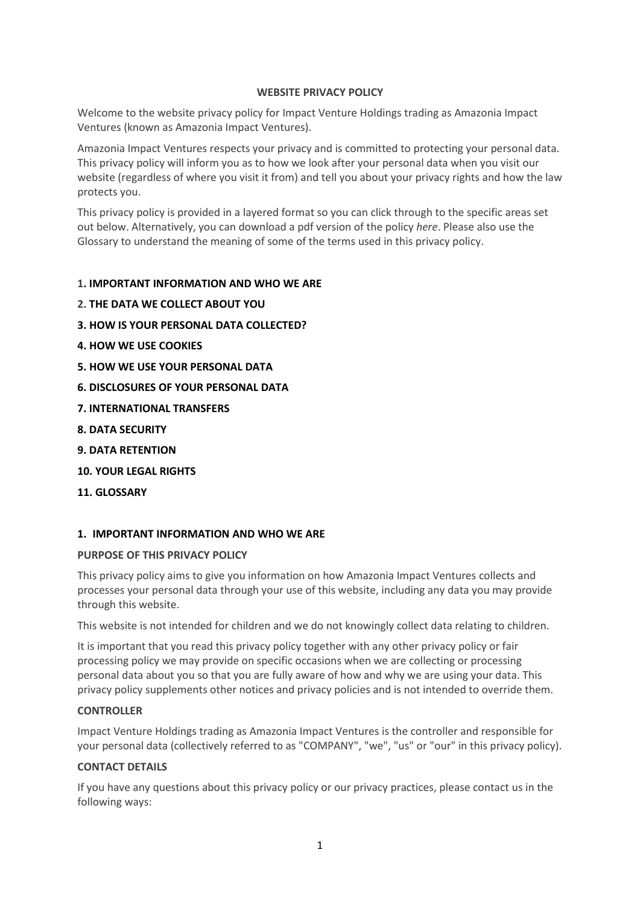### **WEBSITE PRIVACY POLICY**

Welcome to the website privacy policy for Impact Venture Holdings trading as Amazonia Impact Ventures (known as Amazonia Impact Ventures).

Amazonia Impact Ventures respects your privacy and is committed to protecting your personal data. This privacy policy will inform you as to how we look after your personal data when you visit our website (regardless of where you visit it from) and tell you about your privacy rights and how the law protects you.

This privacy policy is provided in a layered format so you can click through to the specific areas set out below. Alternatively, you can download a pdf version of the policy *here*. Please also use the Glossary to understand the meaning of some of the terms used in this privacy policy.

### **1. IMPORTANT [INFORMATION](#page-0-0) AND WHO WE ARE**

- **2. THE DATA WE [COLLECT](#page-1-0) ABOUT YOU**
- **3. HOW IS YOUR PERSONAL DATA [COLLECTED?](#page-2-0)**
- **4. HOW WE USE [COOKIES](#page-2-1)**
- **5. HOW WE USE YOUR [PERSONAL](#page-2-1) DATA**
- **6. [DISCLOSURES](#page-5-0) OF YOUR PERSONAL DATA**
- **7. [INTERNATIONAL](#page-6-0) TRANSFERS**
- **8. DATA [SECURITY](#page-6-1)**
- **9. DATA [RETENTION](#page-6-2)**
- **10. YOUR LEGAL [RIGHTS](#page-7-0)**
- **11. [GLOSSARY](#page-7-1)**

### <span id="page-0-0"></span>**1. IMPORTANT INFORMATION AND WHO WE ARE**

### **PURPOSE OF THIS PRIVACY POLICY**

This privacy policy aims to give you information on how Amazonia Impact Ventures collects and processes your personal data through your use of this website, including any data you may provide through this website.

This website is not intended for children and we do not knowingly collect data relating to children.

It is important that you read this privacy policy together with any other privacy policy or fair processing policy we may provide on specific occasions when we are collecting or processing personal data about you so that you are fully aware of how and why we are using your data. This privacy policy supplements other notices and privacy policies and is not intended to override them.

### **CONTROLLER**

Impact Venture Holdings trading as Amazonia Impact Ventures is the controller and responsible for your personal data (collectively referred to as "COMPANY", "we", "us" or "our" in this privacy policy).

### **CONTACT DETAILS**

If you have any questions about this privacy policy or our privacy practices, please contact us in the following ways: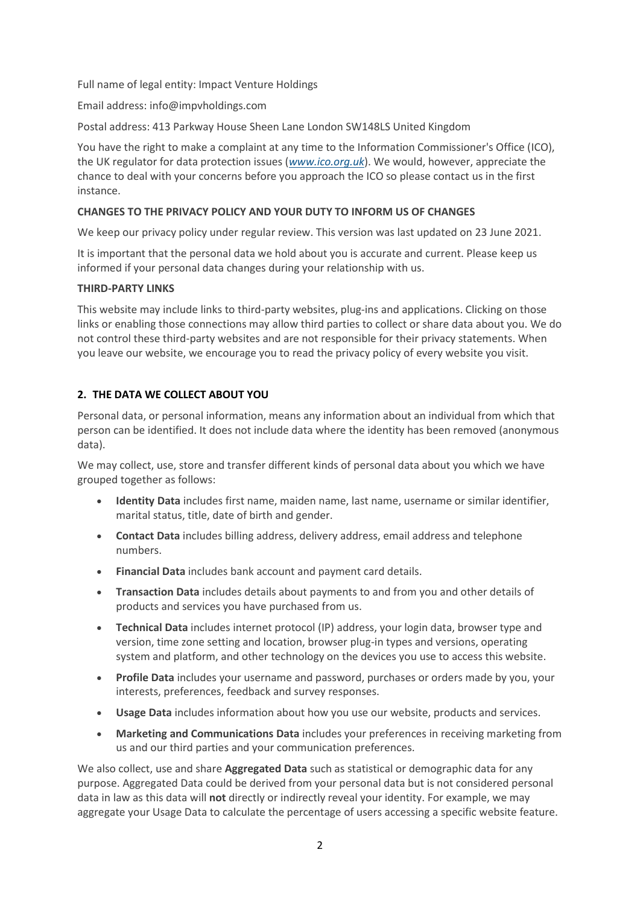Full name of legal entity: Impact Venture Holdings

Email address: info@impvholdings.com

Postal address: 413 Parkway House Sheen Lane London SW148LS United Kingdom

You have the right to make a complaint at any time to the Information Commissioner's Office (ICO), the UK regulator for data protection issues (*[www.ico.org.uk](http://www.ico.org.uk/)*). We would, however, appreciate the chance to deal with your concerns before you approach the ICO so please contact us in the first instance.

## **CHANGES TO THE PRIVACY POLICY AND YOUR DUTY TO INFORM US OF CHANGES**

We keep our privacy policy under regular review. This version was last updated on 23 June 2021.

It is important that the personal data we hold about you is accurate and current. Please keep us informed if your personal data changes during your relationship with us.

### **THIRD-PARTY LINKS**

This website may include links to third-party websites, plug-ins and applications. Clicking on those links or enabling those connections may allow third parties to collect or share data about you. We do not control these third-party websites and are not responsible for their privacy statements. When you leave our website, we encourage you to read the privacy policy of every website you visit.

## <span id="page-1-0"></span>**2. THE DATA WE COLLECT ABOUT YOU**

Personal data, or personal information, means any information about an individual from which that person can be identified. It does not include data where the identity has been removed (anonymous data).

We may collect, use, store and transfer different kinds of personal data about you which we have grouped together as follows:

- **Identity Data** includes first name, maiden name, last name, username or similar identifier, marital status, title, date of birth and gender.
- **Contact Data** includes billing address, delivery address, email address and telephone numbers.
- **Financial Data** includes bank account and payment card details.
- **Transaction Data** includes details about payments to and from you and other details of products and services you have purchased from us.
- **Technical Data** includes internet protocol (IP) address, your login data, browser type and version, time zone setting and location, browser plug-in types and versions, operating system and platform, and other technology on the devices you use to access this website.
- **Profile Data** includes your username and password, purchases or orders made by you, your interests, preferences, feedback and survey responses.
- **Usage Data** includes information about how you use our website, products and services.
- **Marketing and Communications Data** includes your preferences in receiving marketing from us and our third parties and your communication preferences.

We also collect, use and share **Aggregated Data** such as statistical or demographic data for any purpose. Aggregated Data could be derived from your personal data but is not considered personal data in law as this data will **not** directly or indirectly reveal your identity. For example, we may aggregate your Usage Data to calculate the percentage of users accessing a specific website feature.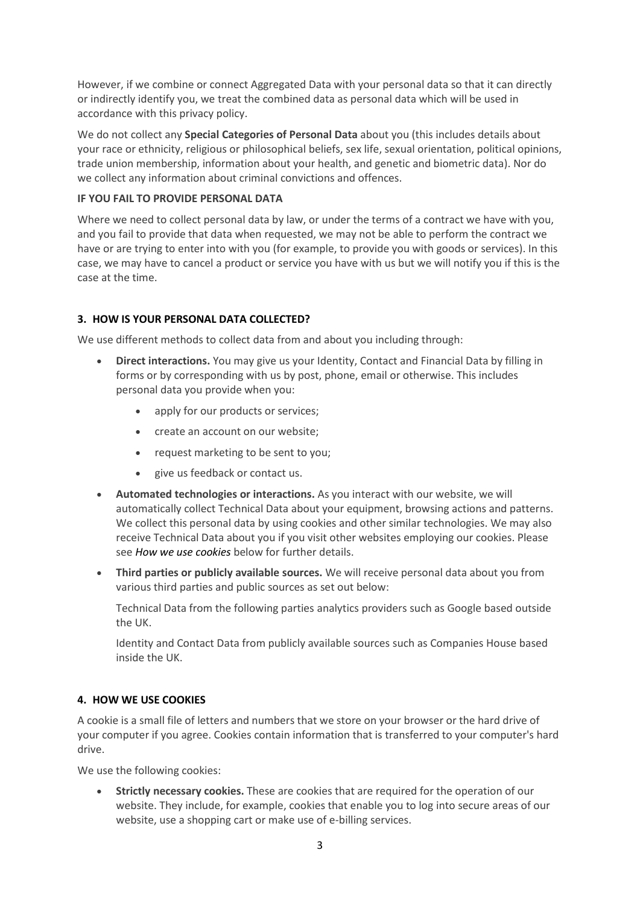However, if we combine or connect Aggregated Data with your personal data so that it can directly or indirectly identify you, we treat the combined data as personal data which will be used in accordance with this privacy policy.

We do not collect any **Special Categories of Personal Data** about you (this includes details about your race or ethnicity, religious or philosophical beliefs, sex life, sexual orientation, political opinions, trade union membership, information about your health, and genetic and biometric data). Nor do we collect any information about criminal convictions and offences.

### **IF YOU FAIL TO PROVIDE PERSONAL DATA**

Where we need to collect personal data by law, or under the terms of a contract we have with you, and you fail to provide that data when requested, we may not be able to perform the contract we have or are trying to enter into with you (for example, to provide you with goods or services). In this case, we may have to cancel a product or service you have with us but we will notify you if this is the case at the time.

## <span id="page-2-0"></span>**3. HOW IS YOUR PERSONAL DATA COLLECTED?**

We use different methods to collect data from and about you including through:

- **Direct interactions.** You may give us your Identity, Contact and Financial Data by filling in forms or by corresponding with us by post, phone, email or otherwise. This includes personal data you provide when you:
	- apply for our products or services:
	- create an account on our website;
	- request marketing to be sent to you;
	- give us feedback or contact us.
- **Automated technologies or interactions.** As you interact with our website, we will automatically collect Technical Data about your equipment, browsing actions and patterns. We collect this personal data by using cookies and other similar technologies. We may also receive Technical Data about you if you visit other websites employing our cookies. Please see *[How we use cookies](#page-2-1)* below for further details.
- **Third parties or publicly available sources.** We will receive personal data about you from various third parties and public sources as set out below:

Technical Data from the following parties analytics providers such as Google based outside the UK.

Identity and Contact Data from publicly available sources such as Companies House based inside the UK.

## <span id="page-2-1"></span>**4. HOW WE USE COOKIES**

A cookie is a small file of letters and numbers that we store on your browser or the hard drive of your computer if you agree. Cookies contain information that is transferred to your computer's hard drive.

We use the following cookies:

• **Strictly necessary cookies.** These are cookies that are required for the operation of our website. They include, for example, cookies that enable you to log into secure areas of our website, use a shopping cart or make use of e-billing services.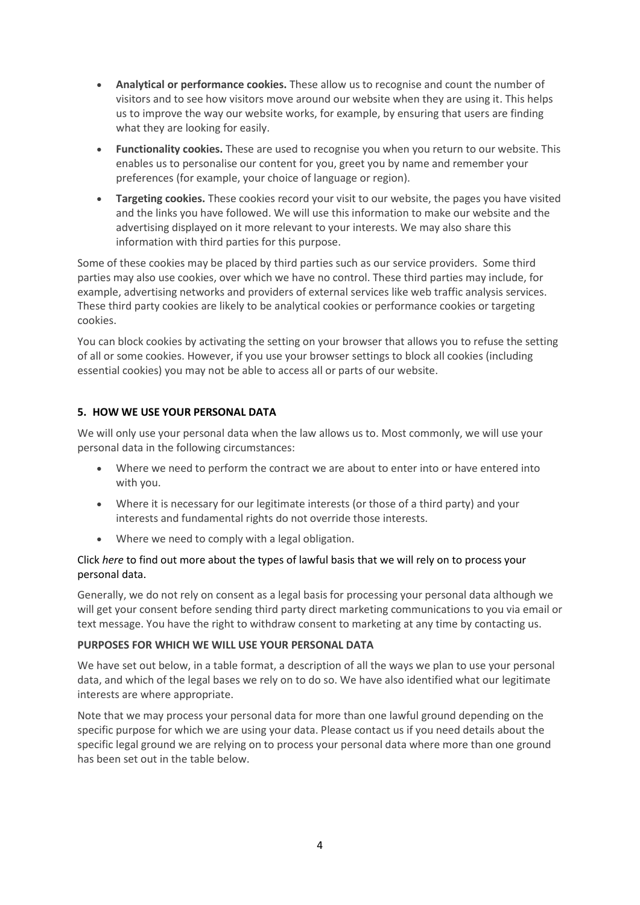- **Analytical or performance cookies.** These allow us to recognise and count the number of visitors and to see how visitors move around our website when they are using it. This helps us to improve the way our website works, for example, by ensuring that users are finding what they are looking for easily.
- **Functionality cookies.** These are used to recognise you when you return to our website. This enables us to personalise our content for you, greet you by name and remember your preferences (for example, your choice of language or region).
- **Targeting cookies.** These cookies record your visit to our website, the pages you have visited and the links you have followed. We will use this information to make our website and the advertising displayed on it more relevant to your interests. We may also share this information with third parties for this purpose.

Some of these cookies may be placed by third parties such as our service providers. Some third parties may also use cookies, over which we have no control. These third parties may include, for example, advertising networks and providers of external services like web traffic analysis services. These third party cookies are likely to be analytical cookies or performance cookies or targeting cookies.

You can block cookies by activating the setting on your browser that allows you to refuse the setting of all or some cookies. However, if you use your browser settings to block all cookies (including essential cookies) you may not be able to access all or parts of our website.

# **5. HOW WE USE YOUR PERSONAL DATA**

We will only use your personal data when the law allows us to. Most commonly, we will use your personal data in the following circumstances:

- Where we need to perform the contract we are about to enter into or have entered into with you.
- Where it is necessary for our legitimate interests (or those of a third party) and your interests and fundamental rights do not override those interests.
- Where we need to comply with a legal obligation.

### Click *[here](#page-7-2)* to find out more about the types of lawful basis that we will rely on to process your personal data.

Generally, we do not rely on consent as a legal basis for processing your personal data although we will get your consent before sending third party direct marketing communications to you via email or text message. You have the right to withdraw consent to marketing at any time by contacting us.

## **PURPOSES FOR WHICH WE WILL USE YOUR PERSONAL DATA**

We have set out below, in a table format, a description of all the ways we plan to use your personal data, and which of the legal bases we rely on to do so. We have also identified what our legitimate interests are where appropriate.

Note that we may process your personal data for more than one lawful ground depending on the specific purpose for which we are using your data. Please contact us if you need details about the specific legal ground we are relying on to process your personal data where more than one ground has been set out in the table below.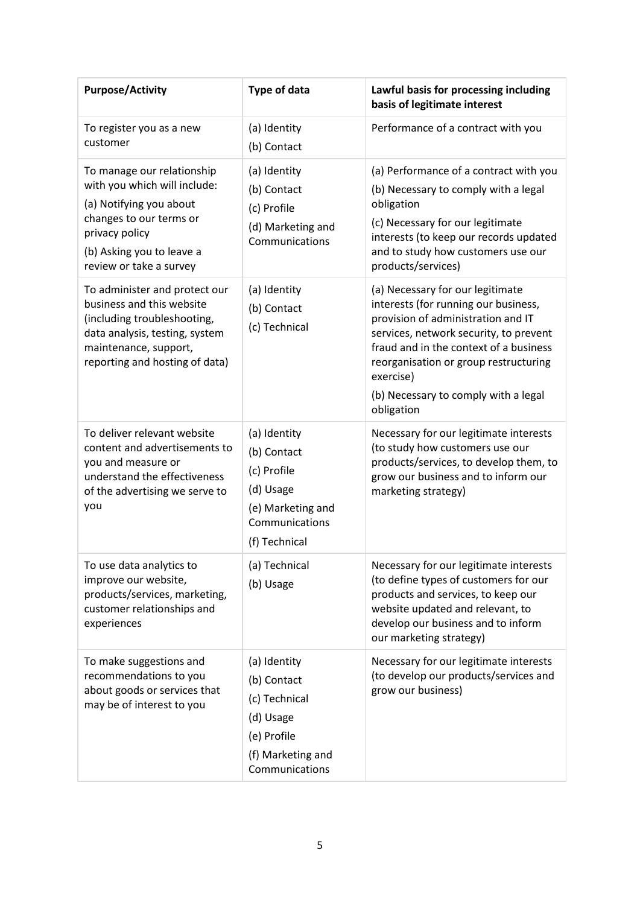| <b>Purpose/Activity</b>                                                                                                                                                                    | Type of data                                                                                                    | Lawful basis for processing including<br>basis of legitimate interest                                                                                                                                                                                                                                          |
|--------------------------------------------------------------------------------------------------------------------------------------------------------------------------------------------|-----------------------------------------------------------------------------------------------------------------|----------------------------------------------------------------------------------------------------------------------------------------------------------------------------------------------------------------------------------------------------------------------------------------------------------------|
| To register you as a new<br>customer                                                                                                                                                       | (a) Identity<br>(b) Contact                                                                                     | Performance of a contract with you                                                                                                                                                                                                                                                                             |
| To manage our relationship<br>with you which will include:<br>(a) Notifying you about<br>changes to our terms or<br>privacy policy<br>(b) Asking you to leave a<br>review or take a survey | (a) Identity<br>(b) Contact<br>(c) Profile<br>(d) Marketing and<br>Communications                               | (a) Performance of a contract with you<br>(b) Necessary to comply with a legal<br>obligation<br>(c) Necessary for our legitimate<br>interests (to keep our records updated<br>and to study how customers use our<br>products/services)                                                                         |
| To administer and protect our<br>business and this website<br>(including troubleshooting,<br>data analysis, testing, system<br>maintenance, support,<br>reporting and hosting of data)     | (a) Identity<br>(b) Contact<br>(c) Technical                                                                    | (a) Necessary for our legitimate<br>interests (for running our business,<br>provision of administration and IT<br>services, network security, to prevent<br>fraud and in the context of a business<br>reorganisation or group restructuring<br>exercise)<br>(b) Necessary to comply with a legal<br>obligation |
| To deliver relevant website<br>content and advertisements to<br>you and measure or<br>understand the effectiveness<br>of the advertising we serve to<br>you                                | (a) Identity<br>(b) Contact<br>(c) Profile<br>(d) Usage<br>(e) Marketing and<br>Communications<br>(f) Technical | Necessary for our legitimate interests<br>(to study how customers use our<br>products/services, to develop them, to<br>grow our business and to inform our<br>marketing strategy)                                                                                                                              |
| To use data analytics to<br>improve our website,<br>products/services, marketing,<br>customer relationships and<br>experiences                                                             | (a) Technical<br>(b) Usage                                                                                      | Necessary for our legitimate interests<br>(to define types of customers for our<br>products and services, to keep our<br>website updated and relevant, to<br>develop our business and to inform<br>our marketing strategy)                                                                                     |
| To make suggestions and<br>recommendations to you<br>about goods or services that<br>may be of interest to you                                                                             | (a) Identity<br>(b) Contact<br>(c) Technical<br>(d) Usage<br>(e) Profile<br>(f) Marketing and<br>Communications | Necessary for our legitimate interests<br>(to develop our products/services and<br>grow our business)                                                                                                                                                                                                          |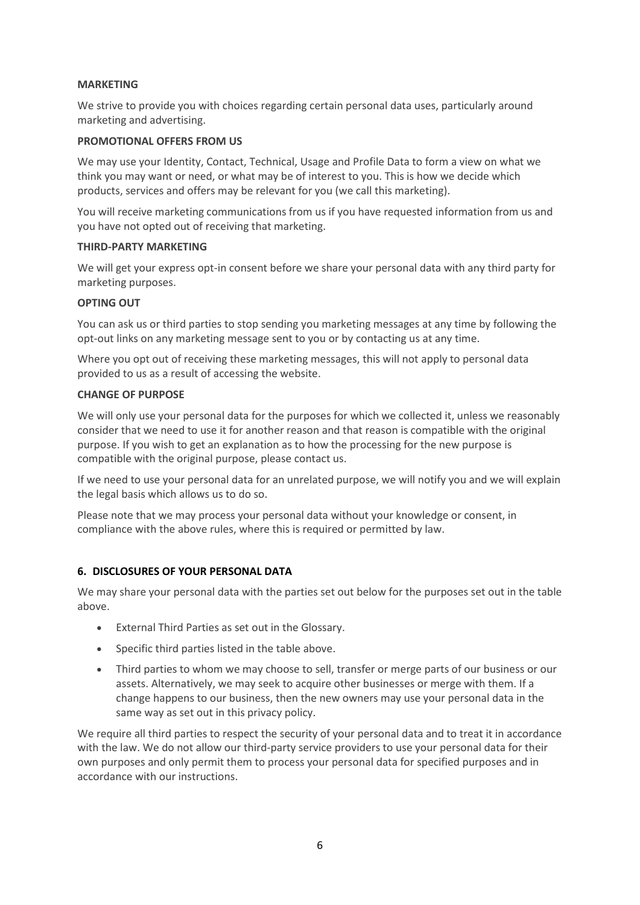### **MARKETING**

We strive to provide you with choices regarding certain personal data uses, particularly around marketing and advertising.

### **PROMOTIONAL OFFERS FROM US**

We may use your Identity, Contact, Technical, Usage and Profile Data to form a view on what we think you may want or need, or what may be of interest to you. This is how we decide which products, services and offers may be relevant for you (we call this marketing).

You will receive marketing communications from us if you have requested information from us and you have not opted out of receiving that marketing.

### **THIRD-PARTY MARKETING**

We will get your express opt-in consent before we share your personal data with any third party for marketing purposes.

### **OPTING OUT**

You can ask us or third parties to stop sending you marketing messages at any time by following the opt-out links on any marketing message sent to you or by contacting us at any time.

Where you opt out of receiving these marketing messages, this will not apply to personal data provided to us as a result of accessing the website.

### **CHANGE OF PURPOSE**

We will only use your personal data for the purposes for which we collected it, unless we reasonably consider that we need to use it for another reason and that reason is compatible with the original purpose. If you wish to get an explanation as to how the processing for the new purpose is compatible with the original purpose, please contact us.

If we need to use your personal data for an unrelated purpose, we will notify you and we will explain the legal basis which allows us to do so.

Please note that we may process your personal data without your knowledge or consent, in compliance with the above rules, where this is required or permitted by law.

## <span id="page-5-0"></span>**6. DISCLOSURES OF YOUR PERSONAL DATA**

We may share your personal data with the parties set out below for the purposes set out in the table above.

- External Third Parties as set out in the Glossary.
- Specific third parties listed in the table above.
- Third parties to whom we may choose to sell, transfer or merge parts of our business or our assets. Alternatively, we may seek to acquire other businesses or merge with them. If a change happens to our business, then the new owners may use your personal data in the same way as set out in this privacy policy.

We require all third parties to respect the security of your personal data and to treat it in accordance with the law. We do not allow our third-party service providers to use your personal data for their own purposes and only permit them to process your personal data for specified purposes and in accordance with our instructions.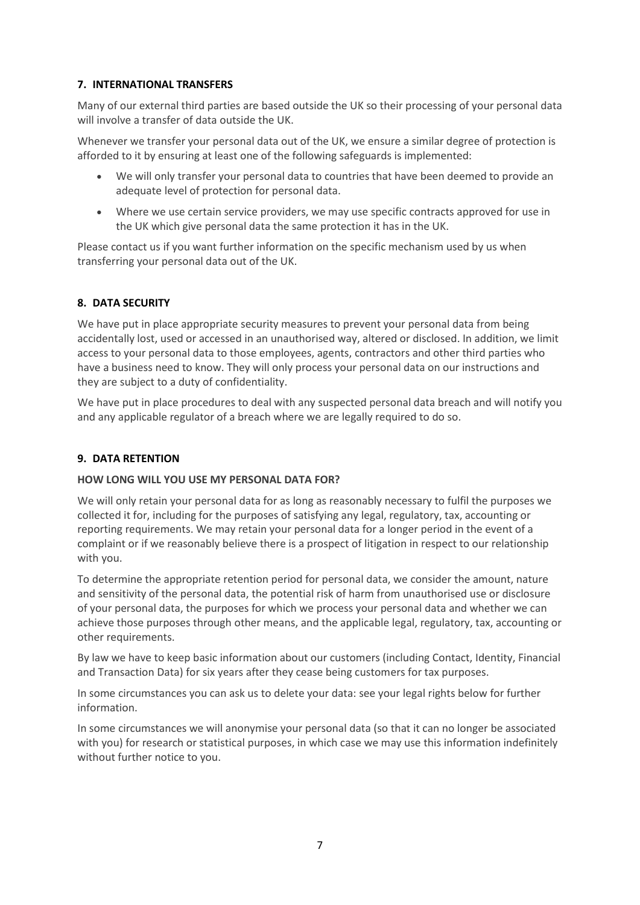## <span id="page-6-0"></span>**7. INTERNATIONAL TRANSFERS**

Many of our external third parties are based outside the UK so their processing of your personal data will involve a transfer of data outside the UK.

Whenever we transfer your personal data out of the UK, we ensure a similar degree of protection is afforded to it by ensuring at least one of the following safeguards is implemented:

- We will only transfer your personal data to countries that have been deemed to provide an adequate level of protection for personal data.
- Where we use certain service providers, we may use specific contracts approved for use in the UK which give personal data the same protection it has in the UK.

Please contact us if you want further information on the specific mechanism used by us when transferring your personal data out of the UK.

## <span id="page-6-1"></span>**8. DATA SECURITY**

We have put in place appropriate security measures to prevent your personal data from being accidentally lost, used or accessed in an unauthorised way, altered or disclosed. In addition, we limit access to your personal data to those employees, agents, contractors and other third parties who have a business need to know. They will only process your personal data on our instructions and they are subject to a duty of confidentiality.

We have put in place procedures to deal with any suspected personal data breach and will notify you and any applicable regulator of a breach where we are legally required to do so.

## <span id="page-6-2"></span>**9. DATA RETENTION**

### **HOW LONG WILL YOU USE MY PERSONAL DATA FOR?**

We will only retain your personal data for as long as reasonably necessary to fulfil the purposes we collected it for, including for the purposes of satisfying any legal, regulatory, tax, accounting or reporting requirements. We may retain your personal data for a longer period in the event of a complaint or if we reasonably believe there is a prospect of litigation in respect to our relationship with you.

To determine the appropriate retention period for personal data, we consider the amount, nature and sensitivity of the personal data, the potential risk of harm from unauthorised use or disclosure of your personal data, the purposes for which we process your personal data and whether we can achieve those purposes through other means, and the applicable legal, regulatory, tax, accounting or other requirements.

By law we have to keep basic information about our customers (including Contact, Identity, Financial and Transaction Data) for six years after they cease being customers for tax purposes.

In some circumstances you can ask us to delete your data: see your legal rights below for further information.

In some circumstances we will anonymise your personal data (so that it can no longer be associated with you) for research or statistical purposes, in which case we may use this information indefinitely without further notice to you.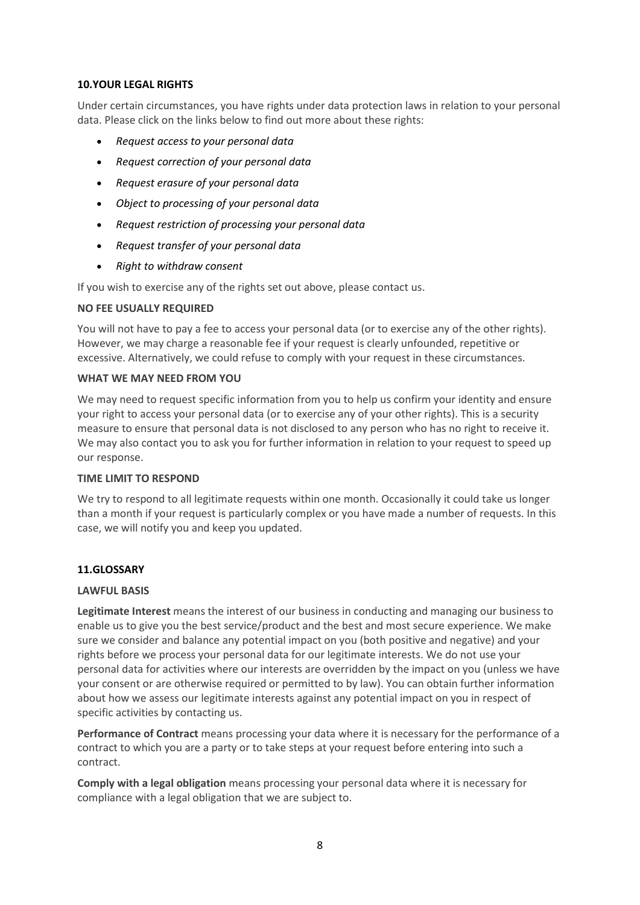### <span id="page-7-0"></span>**10.YOUR LEGAL RIGHTS**

Under certain circumstances, you have rights under data protection laws in relation to your personal data. Please click on the links below to find out more about these rights:

- *Request access to your [personal](#page-8-0) data*
- *Request [correction](#page-8-1) of your personal data*
- *Request erasure of your [personal](#page-8-2) data*
- *Object to [processing](#page-8-3) of your personal data*
- *Request restriction of [processing](#page-8-4) your personal data*
- *Request transfer of your [personal](#page-8-5) data*
- *Right to [withdraw](#page-8-6) consent*

If you wish to exercise any of the rights set out above, please contact us.

### **NO FEE USUALLY REQUIRED**

You will not have to pay a fee to access your personal data (or to exercise any of the other rights). However, we may charge a reasonable fee if your request is clearly unfounded, repetitive or excessive. Alternatively, we could refuse to comply with your request in these circumstances.

#### **WHAT WE MAY NEED FROM YOU**

We may need to request specific information from you to help us confirm your identity and ensure your right to access your personal data (or to exercise any of your other rights). This is a security measure to ensure that personal data is not disclosed to any person who has no right to receive it. We may also contact you to ask you for further information in relation to your request to speed up our response.

### **TIME LIMIT TO RESPOND**

We try to respond to all legitimate requests within one month. Occasionally it could take us longer than a month if your request is particularly complex or you have made a number of requests. In this case, we will notify you and keep you updated.

### <span id="page-7-1"></span>**11.GLOSSARY**

### <span id="page-7-2"></span>**LAWFUL BASIS**

**Legitimate Interest** means the interest of our business in conducting and managing our business to enable us to give you the best service/product and the best and most secure experience. We make sure we consider and balance any potential impact on you (both positive and negative) and your rights before we process your personal data for our legitimate interests. We do not use your personal data for activities where our interests are overridden by the impact on you (unless we have your consent or are otherwise required or permitted to by law). You can obtain further information about how we assess our legitimate interests against any potential impact on you in respect of specific activities by contacting us.

**Performance of Contract** means processing your data where it is necessary for the performance of a contract to which you are a party or to take steps at your request before entering into such a contract.

**Comply with a legal obligation** means processing your personal data where it is necessary for compliance with a legal obligation that we are subject to.